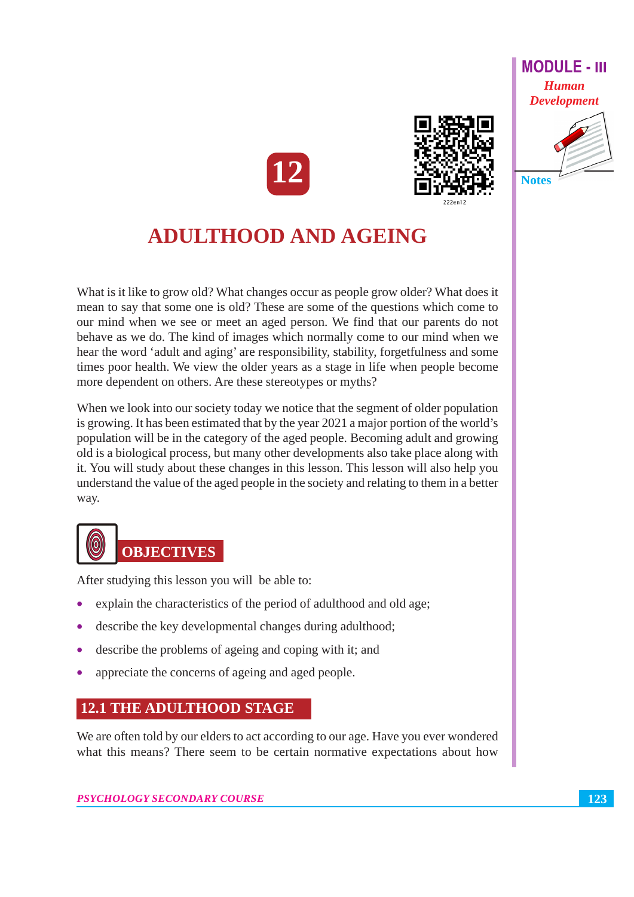





# **ADULTHOOD AND AGEING**

What is it like to grow old? What changes occur as people grow older? What does it mean to say that some one is old? These are some of the questions which come to our mind when we see or meet an aged person. We find that our parents do not behave as we do. The kind of images which normally come to our mind when we hear the word 'adult and aging' are responsibility, stability, forgetfulness and some times poor health. We view the older years as a stage in life when people become more dependent on others. Are these stereotypes or myths?

When we look into our society today we notice that the segment of older population is growing. It has been estimated that by the year 2021 a major portion of the world's population will be in the category of the aged people. Becoming adult and growing old is a biological process, but many other developments also take place along with it. You will study about these changes in this lesson. This lesson will also help you understand the value of the aged people in the society and relating to them in a better way.



After studying this lesson you will be able to:

- explain the characteristics of the period of adulthood and old age;
- describe the key developmental changes during adulthood;
- describe the problems of ageing and coping with it; and
- appreciate the concerns of ageing and aged people.

#### **12.1 THE ADULTHOOD STAGE**

We are often told by our elders to act according to our age. Have you ever wondered what this means? There seem to be certain normative expectations about how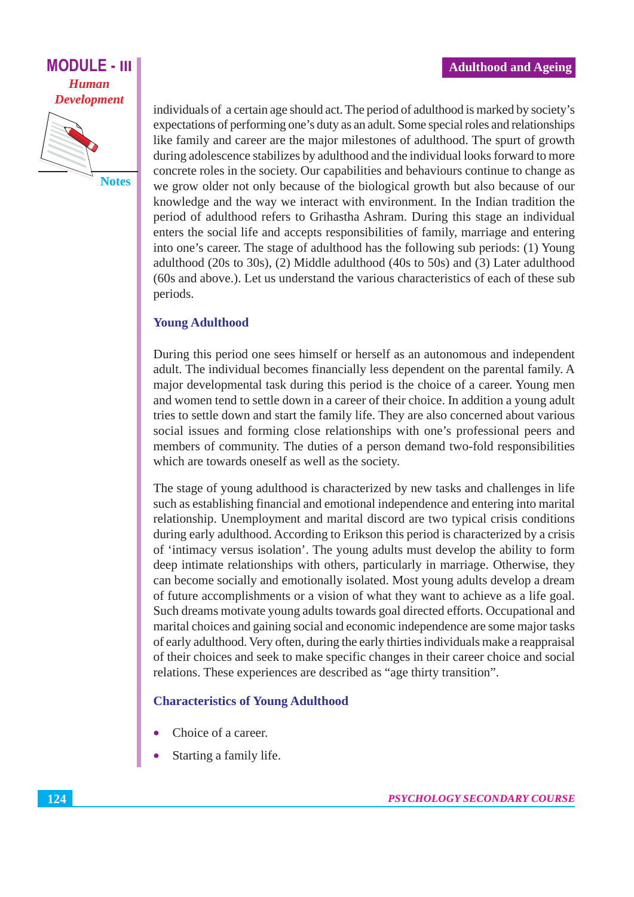

individuals of a certain age should act. The period of adulthood is marked by society's expectations of performing one's duty as an adult. Some special roles and relationships like family and career are the major milestones of adulthood. The spurt of growth during adolescence stabilizes by adulthood and the individual looks forward to more concrete roles in the society. Our capabilities and behaviours continue to change as we grow older not only because of the biological growth but also because of our knowledge and the way we interact with environment. In the Indian tradition the period of adulthood refers to Grihastha Ashram. During this stage an individual enters the social life and accepts responsibilities of family, marriage and entering into one's career. The stage of adulthood has the following sub periods: (1) Young adulthood (20s to 30s), (2) Middle adulthood (40s to 50s) and (3) Later adulthood (60s and above.). Let us understand the various characteristics of each of these sub periods.

#### **Young Adulthood**

During this period one sees himself or herself as an autonomous and independent adult. The individual becomes financially less dependent on the parental family. A major developmental task during this period is the choice of a career. Young men and women tend to settle down in a career of their choice. In addition a young adult tries to settle down and start the family life. They are also concerned about various social issues and forming close relationships with one's professional peers and members of community. The duties of a person demand two-fold responsibilities which are towards oneself as well as the society.

The stage of young adulthood is characterized by new tasks and challenges in life such as establishing financial and emotional independence and entering into marital relationship. Unemployment and marital discord are two typical crisis conditions during early adulthood. According to Erikson this period is characterized by a crisis of 'intimacy versus isolation'. The young adults must develop the ability to form deep intimate relationships with others, particularly in marriage. Otherwise, they can become socially and emotionally isolated. Most young adults develop a dream of future accomplishments or a vision of what they want to achieve as a life goal. Such dreams motivate young adults towards goal directed efforts. Occupational and marital choices and gaining social and economic independence are some major tasks of early adulthood. Very often, during the early thirties individuals make a reappraisal of their choices and seek to make specific changes in their career choice and social relations. These experiences are described as "age thirty transition".

#### **Characteristics of Young Adulthood**

- Choice of a career.
- Starting a family life.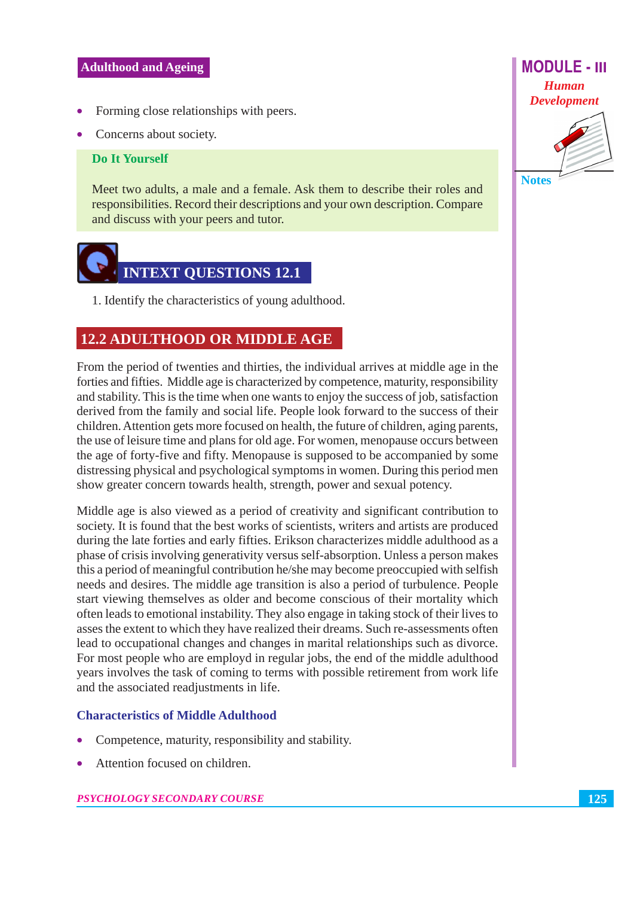- Forming close relationships with peers.
- Concerns about society.

#### **Do It Yourself**

Meet two adults, a male and a female. Ask them to describe their roles and responsibilities. Record their descriptions and your own description. Compare and discuss with your peers and tutor.



1. Identify the characteristics of young adulthood.

#### **12.2 ADULTHOOD OR MIDDLE AGE**

From the period of twenties and thirties, the individual arrives at middle age in the forties and fifties. Middle age is characterized by competence, maturity, responsibility and stability. This is the time when one wants to enjoy the success of job, satisfaction derived from the family and social life. People look forward to the success of their children. Attention gets more focused on health, the future of children, aging parents, the use of leisure time and plans for old age. For women, menopause occurs between the age of forty-five and fifty. Menopause is supposed to be accompanied by some distressing physical and psychological symptoms in women. During this period men show greater concern towards health, strength, power and sexual potency.

Middle age is also viewed as a period of creativity and significant contribution to society. It is found that the best works of scientists, writers and artists are produced during the late forties and early fifties. Erikson characterizes middle adulthood as a phase of crisis involving generativity versus self-absorption. Unless a person makes this a period of meaningful contribution he/she may become preoccupied with selfish needs and desires. The middle age transition is also a period of turbulence. People start viewing themselves as older and become conscious of their mortality which often leads to emotional instability. They also engage in taking stock of their lives to asses the extent to which they have realized their dreams. Such re-assessments often lead to occupational changes and changes in marital relationships such as divorce. For most people who are employd in regular jobs, the end of the middle adulthood years involves the task of coming to terms with possible retirement from work life and the associated readjustments in life.

#### **Characteristics of Middle Adulthood**

- Competence, maturity, responsibility and stability.
- Attention focused on children.



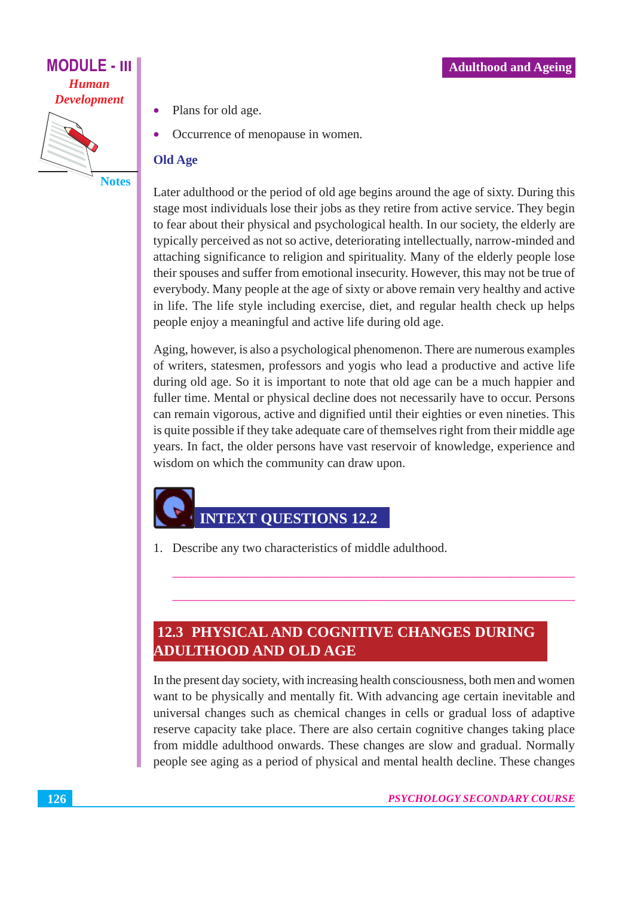**Notes** 

- Plans for old age.
	- Occurrence of menopause in women.

#### **Old Age**

Later adulthood or the period of old age begins around the age of sixty. During this stage most individuals lose their jobs as they retire from active service. They begin to fear about their physical and psychological health. In our society, the elderly are typically perceived as not so active, deteriorating intellectually, narrow-minded and attaching significance to religion and spirituality. Many of the elderly people lose their spouses and suffer from emotional insecurity. However, this may not be true of everybody. Many people at the age of sixty or above remain very healthy and active in life. The life style including exercise, diet, and regular health check up helps people enjoy a meaningful and active life during old age.

Aging, however, is also a psychological phenomenon. There are numerous examples of writers, statesmen, professors and yogis who lead a productive and active life during old age. So it is important to note that old age can be a much happier and fuller time. Mental or physical decline does not necessarily have to occur. Persons can remain vigorous, active and dignified until their eighties or even nineties. This is quite possible if they take adequate care of themselves right from their middle age years. In fact, the older persons have vast reservoir of knowledge, experience and wisdom on which the community can draw upon.

## **INTEXT OUESTIONS 12.2**

1. Describe any two characteristics of middle adulthood.

## **12.3 PHYSICAL AND COGNITIVE CHANGES DURING ADULTHOOD AND OLD AGE**

In the present day society, with increasing health consciousness, both men and women want to be physically and mentally fit. With advancing age certain inevitable and universal changes such as chemical changes in cells or gradual loss of adaptive reserve capacity take place. There are also certain cognitive changes taking place from middle adulthood onwards. These changes are slow and gradual. Normally people see aging as a period of physical and mental health decline. These changes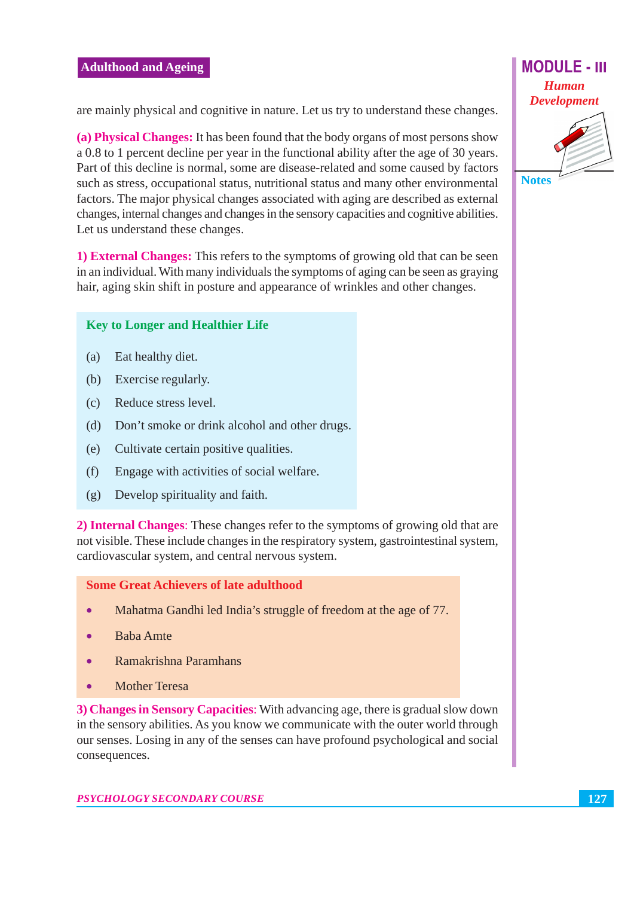are mainly physical and cognitive in nature. Let us try to understand these changes.

(a) Physical Changes: It has been found that the body organs of most persons show a 0.8 to 1 percent decline per year in the functional ability after the age of 30 years. Part of this decline is normal, some are disease-related and some caused by factors such as stress, occupational status, nutritional status and many other environmental factors. The major physical changes associated with aging are described as external changes, internal changes and changes in the sensory capacities and cognitive abilities. Let us understand these changes.

1) **External Changes:** This refers to the symptoms of growing old that can be seen in an individual. With many individuals the symptoms of aging can be seen as graying hair, aging skin shift in posture and appearance of wrinkles and other changes.

#### **Key to Longer and Healthier Life**

- $(a)$ Eat healthy diet.
- (b) Exercise regularly.
- Reduce stress level.  $(c)$
- $(d)$ Don't smoke or drink alcohol and other drugs.
- Cultivate certain positive qualities.  $(e)$
- $(f)$ Engage with activities of social welfare.
- $(g)$ Develop spirituality and faith.

2) Internal Changes: These changes refer to the symptoms of growing old that are not visible. These include changes in the respiratory system, gastrointestinal system, cardiovascular system, and central nervous system.

**Some Great Achievers of late adulthood** 

- $\bullet$ Mahatma Gandhi led India's struggle of freedom at the age of 77.
- **Baba** Amte  $\bullet$
- Ramakrishna Paramhans
- **Mother Teresa**

3) Changes in Sensory Capacities: With advancing age, there is gradual slow down in the sensory abilities. As you know we communicate with the outer world through our senses. Losing in any of the senses can have profound psychological and social consequences.



**Notes**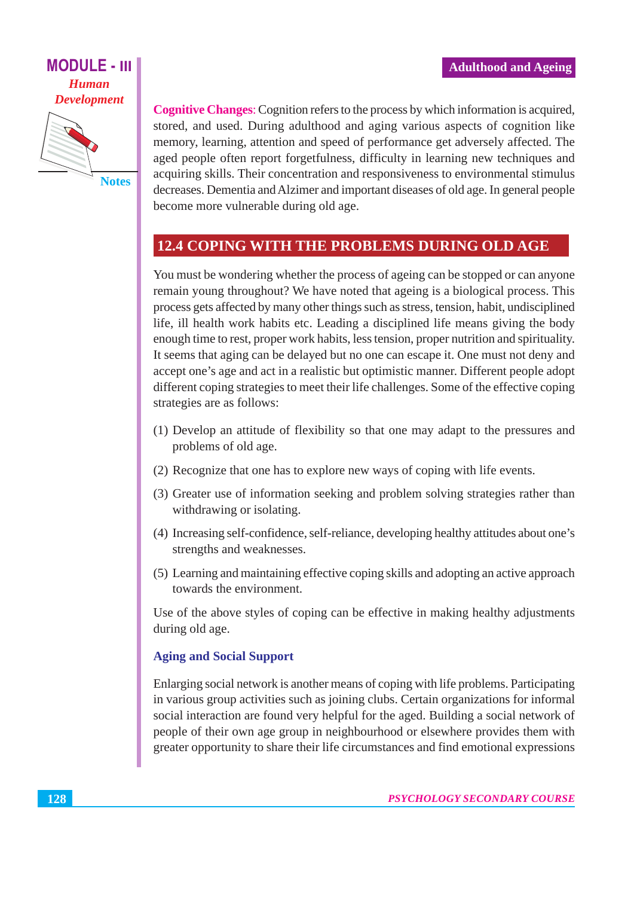

**Cognitive Changes:** Cognition refers to the process by which information is acquired, stored, and used. During adulthood and aging various aspects of cognition like memory, learning, attention and speed of performance get adversely affected. The aged people often report forgetfulness, difficulty in learning new techniques and acquiring skills. Their concentration and responsiveness to environmental stimulus decreases. Dementia and Alzimer and important diseases of old age. In general people become more vulnerable during old age.

#### **12.4 COPING WITH THE PROBLEMS DURING OLD AGE**

You must be wondering whether the process of ageing can be stopped or can anyone remain young throughout? We have noted that ageing is a biological process. This process gets affected by many other things such as stress, tension, habit, undisciplined life, ill health work habits etc. Leading a disciplined life means giving the body enough time to rest, proper work habits, less tension, proper nutrition and spirituality. It seems that aging can be delayed but no one can escape it. One must not deny and accept one's age and act in a realistic but optimistic manner. Different people adopt different coping strategies to meet their life challenges. Some of the effective coping strategies are as follows:

- (1) Develop an attitude of flexibility so that one may adapt to the pressures and problems of old age.
- (2) Recognize that one has to explore new ways of coping with life events.
- (3) Greater use of information seeking and problem solving strategies rather than withdrawing or isolating.
- (4) Increasing self-confidence, self-reliance, developing healthy attitudes about one's strengths and weaknesses.
- (5) Learning and maintaining effective coping skills and adopting an active approach towards the environment.

Use of the above styles of coping can be effective in making healthy adjustments during old age.

#### **Aging and Social Support**

Enlarging social network is another means of coping with life problems. Participating in various group activities such as joining clubs. Certain organizations for informal social interaction are found very helpful for the aged. Building a social network of people of their own age group in neighbourhood or elsewhere provides them with greater opportunity to share their life circumstances and find emotional expressions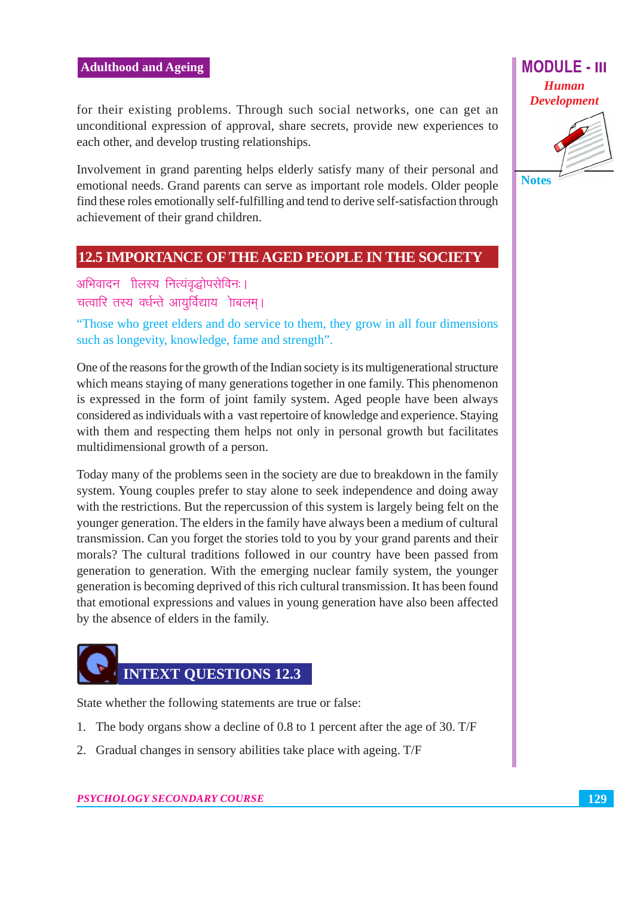#### **Adulthood and Ageing**

for their existing problems. Through such social networks, one can get an unconditional expression of approval, share secrets, provide new experiences to each other, and develop trusting relationships.

Involvement in grand parenting helps elderly satisfy many of their personal and emotional needs. Grand parents can serve as important role models. Older people find these roles emotionally self-fulfilling and tend to derive self-satisfaction through achievement of their grand children.

#### **12.5 IMPORTANCE OF THE AGED PEOPLE IN THE SOCIETY**

अभिवादन गिलस्य नित्यंवद्धोपसेविनः। चत्वारि तस्य वर्धन्ते आयुर्विद्याय ोाबलम्।

"Those who greet elders and do service to them, they grow in all four dimensions such as longevity, knowledge, fame and strength".

One of the reasons for the growth of the Indian society is its multigenerational structure which means staying of many generations together in one family. This phenomenon is expressed in the form of joint family system. Aged people have been always considered as individuals with a vast repertoire of knowledge and experience. Staying with them and respecting them helps not only in personal growth but facilitates multidimensional growth of a person.

Today many of the problems seen in the society are due to breakdown in the family system. Young couples prefer to stay alone to seek independence and doing away with the restrictions. But the repercussion of this system is largely being felt on the younger generation. The elders in the family have always been a medium of cultural transmission. Can you forget the stories told to you by your grand parents and their morals? The cultural traditions followed in our country have been passed from generation to generation. With the emerging nuclear family system, the younger generation is becoming deprived of this rich cultural transmission. It has been found that emotional expressions and values in young generation have also been affected by the absence of elders in the family.



State whether the following statements are true or false:

- 1. The body organs show a decline of 0.8 to 1 percent after the age of 30. T/F
- 2. Gradual changes in sensory abilities take place with ageing. T/F

**Notes**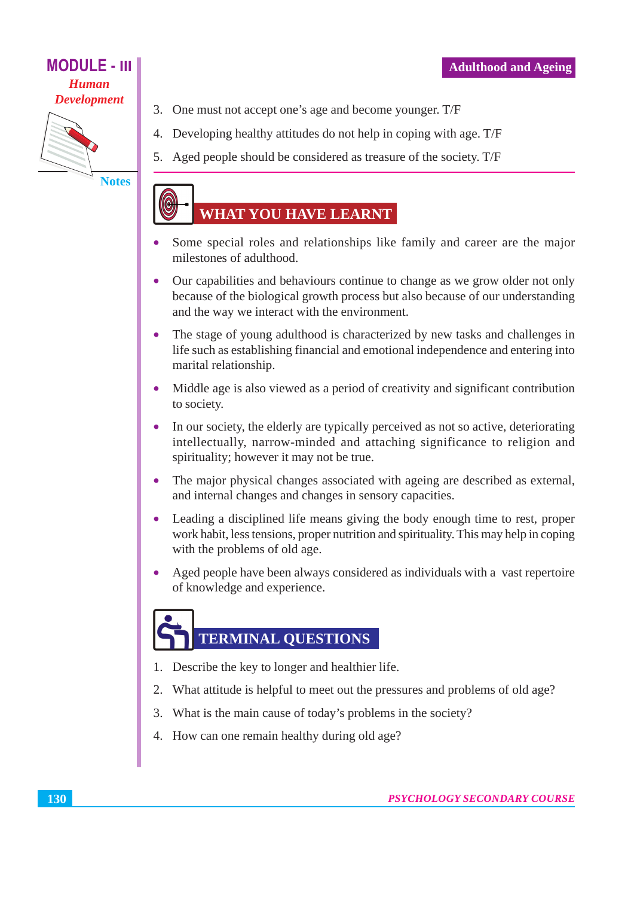

**Notes** 

- 3. One must not accept one's age and become younger. T/F
- 4. Developing healthy attitudes do not help in coping with age. T/F
- 5. Aged people should be considered as treasure of the society. T/F

# **WHAT YOU HAVE LEARNT**

- Some special roles and relationships like family and career are the major  $\bullet$ milestones of adulthood.
- Our capabilities and behaviours continue to change as we grow older not only because of the biological growth process but also because of our understanding and the way we interact with the environment.
- The stage of young adulthood is characterized by new tasks and challenges in life such as establishing financial and emotional independence and entering into marital relationship.
- Middle age is also viewed as a period of creativity and significant contribution to society.
- In our society, the elderly are typically perceived as not so active, deteriorating  $\bullet$ intellectually, narrow-minded and attaching significance to religion and spirituality; however it may not be true.
- The major physical changes associated with ageing are described as external, and internal changes and changes in sensory capacities.
- $\bullet$ Leading a disciplined life means giving the body enough time to rest, proper work habit, less tensions, proper nutrition and spirituality. This may help in coping with the problems of old age.
- Aged people have been always considered as individuals with a vast repertoire  $\bullet$ of knowledge and experience.

# **TERMINAL QUESTIONS**

- 1. Describe the key to longer and healthier life.
- 2. What attitude is helpful to meet out the pressures and problems of old age?
- 3. What is the main cause of today's problems in the society?
- 4. How can one remain healthy during old age?